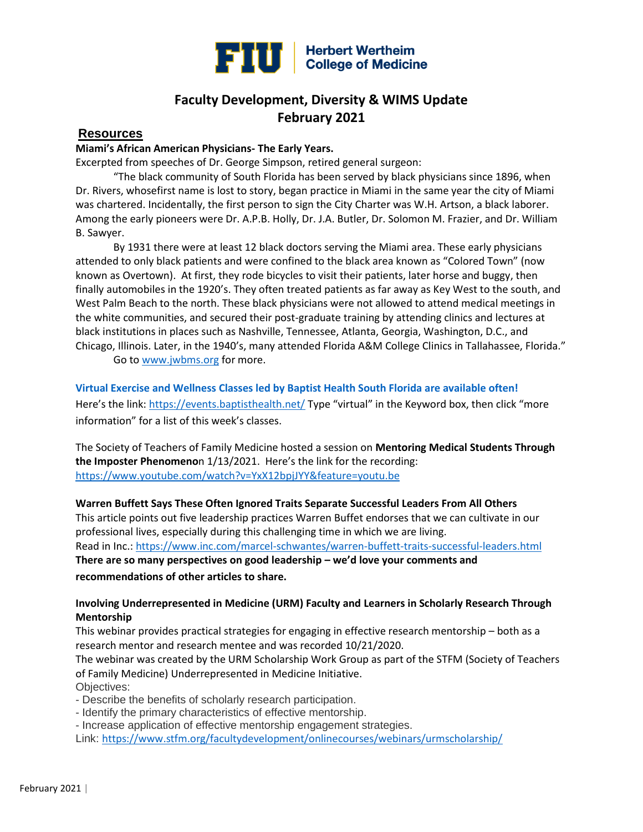

# **Faculty Development, Diversity & WIMS Update February 2021**

# **Resources**

#### **Miami's African American Physicians- The Early Years.**

Excerpted from speeches of Dr. George Simpson, retired general surgeon:

"The black community of South Florida has been served by black physicians since 1896, when Dr. Rivers, whosefirst name is lost to story, began practice in Miami in the same year the city of Miami was chartered. Incidentally, the first person to sign the City Charter was W.H. Artson, a black laborer. Among the early pioneers were Dr. A.P.B. Holly, Dr. J.A. Butler, Dr. Solomon M. Frazier, and Dr. William B. Sawyer.

By 1931 there were at least 12 black doctors serving the Miami area. These early physicians attended to only black patients and were confined to the black area known as "Colored Town" (now known as Overtown). At first, they rode bicycles to visit their patients, later horse and buggy, then finally automobiles in the 1920's. They often treated patients as far away as Key West to the south, and West Palm Beach to the north. These black physicians were not allowed to attend medical meetings in the white communities, and secured their post-graduate training by attending clinics and lectures at black institutions in places such as Nashville, Tennessee, Atlanta, Georgia, Washington, D.C., and Chicago, Illinois. Later, in the 1940's, many attended Florida A&M College Clinics in Tallahassee, Florida."

Go to [www.jwbms.org](http://www.jwbms.org/) for more.

**[Virtual Exercise and Wellness Classes led by Baptist Health South Florida are available often!](https://events.baptisthealth.net/)**

Here's the link: <https://events.baptisthealth.net/> Type "virtual" in the Keyword box, then click "more information" for a list of this week's classes.

The Society of Teachers of Family Medicine hosted a session on **Mentoring Medical Students Through the Imposter Phenomeno**n 1/13/2021. Here's the link for the recording: <https://www.youtube.com/watch?v=YxX12bpjJYY&feature=youtu.be>

**Warren Buffett Says These Often Ignored Traits Separate Successful Leaders From All Others** This article points out five leadership practices Warren Buffet endorses that we can cultivate in our professional lives, especially during this challenging time in which we are living. Read in Inc.:<https://www.inc.com/marcel-schwantes/warren-buffett-traits-successful-leaders.html> **There are so many perspectives on good leadership – we'd love your comments and recommendations of other articles to share.** 

## **Involving Underrepresented in Medicine (URM) Faculty and Learners in Scholarly Research Through Mentorship**

This webinar provides practical strategies for engaging in effective research mentorship – both as a research mentor and research mentee and was recorded 10/21/2020.

The webinar was created by the URM Scholarship Work Group as part of the STFM (Society of Teachers of Family Medicine) Underrepresented in Medicine Initiative. Objectives:

- Describe the benefits of scholarly research participation.

- Identify the primary characteristics of effective mentorship.
- Increase application of effective mentorship engagement strategies.

Link: <https://www.stfm.org/facultydevelopment/onlinecourses/webinars/urmscholarship/>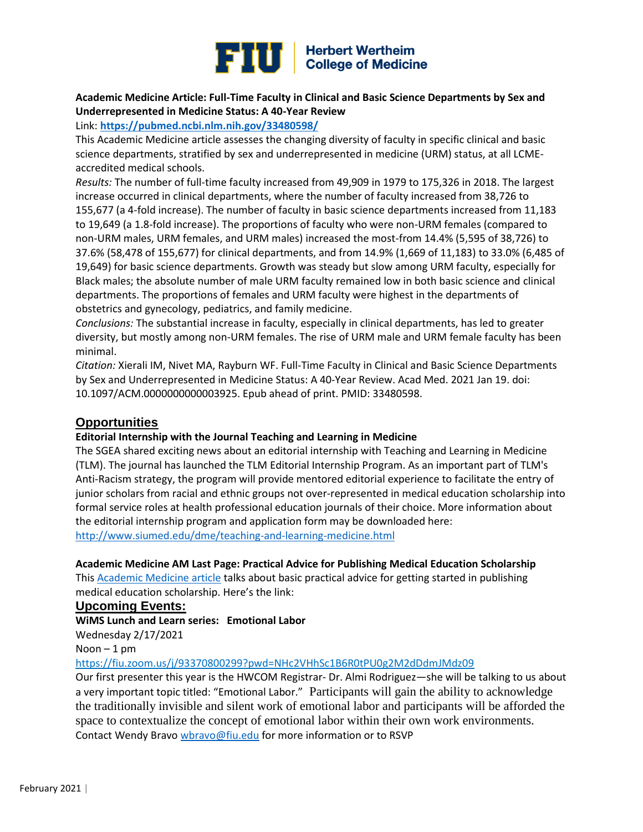

# **Academic Medicine Article: Full-Time Faculty in Clinical and Basic Science Departments by Sex and Underrepresented in Medicine Status: A 40-Year Review**

Link: **<https://pubmed.ncbi.nlm.nih.gov/33480598/>**

This Academic Medicine article assesses the changing diversity of faculty in specific clinical and basic science departments, stratified by sex and underrepresented in medicine (URM) status, at all LCMEaccredited medical schools.

*Results:* The number of full-time faculty increased from 49,909 in 1979 to 175,326 in 2018. The largest increase occurred in clinical departments, where the number of faculty increased from 38,726 to 155,677 (a 4-fold increase). The number of faculty in basic science departments increased from 11,183 to 19,649 (a 1.8-fold increase). The proportions of faculty who were non-URM females (compared to non-URM males, URM females, and URM males) increased the most-from 14.4% (5,595 of 38,726) to 37.6% (58,478 of 155,677) for clinical departments, and from 14.9% (1,669 of 11,183) to 33.0% (6,485 of 19,649) for basic science departments. Growth was steady but slow among URM faculty, especially for Black males; the absolute number of male URM faculty remained low in both basic science and clinical departments. The proportions of females and URM faculty were highest in the departments of obstetrics and gynecology, pediatrics, and family medicine.

*Conclusions:* The substantial increase in faculty, especially in clinical departments, has led to greater diversity, but mostly among non-URM females. The rise of URM male and URM female faculty has been minimal.

*Citation:* Xierali IM, Nivet MA, Rayburn WF. Full-Time Faculty in Clinical and Basic Science Departments by Sex and Underrepresented in Medicine Status: A 40-Year Review. Acad Med. 2021 Jan 19. doi: 10.1097/ACM.0000000000003925. Epub ahead of print. PMID: 33480598.

# **Opportunities**

## **Editorial Internship with the Journal Teaching and Learning in Medicine**

The SGEA shared exciting news about an editorial internship with Teaching and Learning in Medicine (TLM). The journal has launched the TLM Editorial Internship Program. As an important part of TLM's Anti-Racism strategy, the program will provide mentored editorial experience to facilitate the entry of junior scholars from racial and ethnic groups not over-represented in medical education scholarship into formal service roles at health professional education journals of their choice. More information about the editorial internship program and application form may be downloaded here: [http://www.siumed.edu/dme/teaching-and-learning-medicine.html](https://urldefense.proofpoint.com/v2/url?u=https-3A__nam02.safelinks.protection.outlook.com_-3Furl-3Dhttp-253A-252F-252Fwww.siumed.edu-252Fdme-252Fteaching-2Dand-2Dlearning-2Dmedicine.html-26data-3D04-257C01-257CAndrea.Berry-2540ucf.edu-257Cce90a93ee0124ac0c05b08d8b42497c7-257Cbb932f15ef3842ba91fcf3c59d5dd1f1-257C0-257C0-257C637457416545483716-257CUnknown-257CTWFpbGZsb3d8eyJWIjoiMC4wLjAwMDAiLCJQIjoiV2luMzIiLCJBTiI6Ik1haWwiLCJXVCI6Mn0-253D-257C1000-26sdata-3Df6KcOeQMn4TjYixZg-252B1JydFBknWlCPFdEkft8Q3b98s-253D-26reserved-3D0&d=DwMFAw&c=lhMMI368wojMYNABHh1gQQ&r=5s0k9ey9hChQSjfCcf3N1Q&m=zmcUOgImYcHYT2kXUwqUkBm_B7rsZfYeezEbxERUHQg&s=aAO_oGnOTEHhS20ROHbYiErmiVOUQEjFXaQ2ohrvxHg&e=)

## **Academic Medicine AM Last Page: Practical Advice for Publishing Medical Education Scholarship**

Thi[s Academic Medicine article](https://academicmedicineblog.org/putting-our-steps-to-practice-practical-advice-for-publishing-medical-education-scholarship/?utm_source=sfmc&utm_medium=email&utm_campaign=amexpress&utm_content=newsletter) talks about basic practical advice for getting started in publishing medical education scholarship. Here's the link:

#### **Upcoming Events:**

#### **WiMS Lunch and Learn series: Emotional Labor**

Wednesday 2/17/2021

 $N$ oon  $-1$  pm

<https://fiu.zoom.us/j/93370800299?pwd=NHc2VHhSc1B6R0tPU0g2M2dDdmJMdz09>

Our first presenter this year is the HWCOM Registrar- Dr. Almi Rodriguez—she will be talking to us about a very important topic titled: "Emotional Labor." Participants will gain the ability to acknowledge the traditionally invisible and silent work of emotional labor and participants will be afforded the space to contextualize the concept of emotional labor within their own work environments. Contact Wendy Bravo [wbravo@fiu.edu](mailto:wbravo@fiu.edu) for more information or to RSVP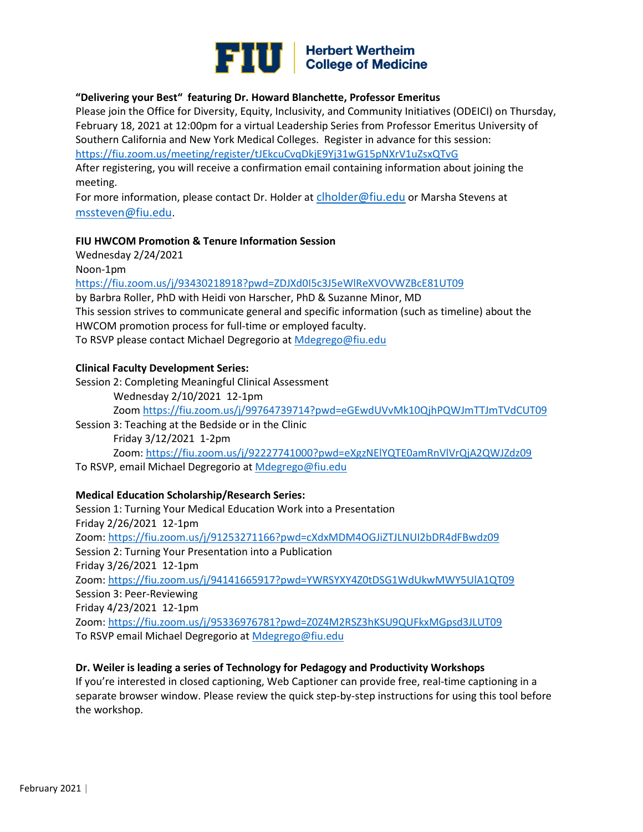

#### **"Delivering your Best" featuring Dr. Howard Blanchette, Professor Emeritus**

Please join the Office for Diversity, Equity, Inclusivity, and Community Initiatives (ODEICI) on Thursday, February 18, 2021 at 12:00pm for a virtual Leadership Series from Professor Emeritus University of Southern California and New York Medical Colleges. Register in advance for this session: <https://fiu.zoom.us/meeting/register/tJEkcuCvqDkjE9Yj31wG15pNXrV1uZsxQTvG>

After registering, you will receive a confirmation email containing information about joining the meeting.

For more information, please contact Dr. Holder at [clholder@fiu.edu](mailto:clholder@fiu.edu) or Marsha Stevens at [mssteven@fiu.edu](mailto:mssteven@fiu.edu).

#### **FIU HWCOM Promotion & Tenure Information Session**

Wednesday 2/24/2021

Noon-1pm

<https://fiu.zoom.us/j/93430218918?pwd=ZDJXd0I5c3J5eWlReXVOVWZBcE81UT09>

by Barbra Roller, PhD with Heidi von Harscher, PhD & Suzanne Minor, MD This session strives to communicate general and specific information (such as timeline) about the HWCOM promotion process for full-time or employed faculty. To RSVP please contact Michael Degregorio at [Mdegrego@fiu.edu](mailto:Mdegrego@fiu.edu)

#### **Clinical Faculty Development Series:**

Session 2: Completing Meaningful Clinical Assessment

Wednesday 2/10/2021 12-1pm Zoom<https://fiu.zoom.us/j/99764739714?pwd=eGEwdUVvMk10QjhPQWJmTTJmTVdCUT09> Session 3: Teaching at the Bedside or in the Clinic Friday 3/12/2021 1-2pm Zoom:<https://fiu.zoom.us/j/92227741000?pwd=eXgzNElYQTE0amRnVlVrQjA2QWJZdz09> To RSVP, email Michael Degregorio at [Mdegrego@fiu.edu](mailto:Mdegrego@fiu.edu)

#### **Medical Education Scholarship/Research Series:**

Session 1: Turning Your Medical Education Work into a Presentation Friday 2/26/2021 12-1pm Zoom:<https://fiu.zoom.us/j/91253271166?pwd=cXdxMDM4OGJiZTJLNUI2bDR4dFBwdz09> Session 2: Turning Your Presentation into a Publication Friday 3/26/2021 12-1pm Zoom:<https://fiu.zoom.us/j/94141665917?pwd=YWRSYXY4Z0tDSG1WdUkwMWY5UlA1QT09> Session 3: Peer-Reviewing Friday 4/23/2021 12-1pm Zoom:<https://fiu.zoom.us/j/95336976781?pwd=Z0Z4M2RSZ3hKSU9QUFkxMGpsd3JLUT09> To RSVP email Michael Degregorio at [Mdegrego@fiu.edu](mailto:Mdegrego@fiu.edu)

#### **Dr. Weiler is leading a series of Technology for Pedagogy and Productivity Workshops**

If you're interested in closed captioning, [Web Captioner](https://webcaptioner.com/) can provide free, real-time captioning in a separate browser window. Please review the [quick step-by-step instructions](https://docs.google.com/document/d/118i04XGtFcAZjIOiWnrhgzWTcMb0P0XjoFTKKxXAb-M/edit) for using this tool before the workshop.